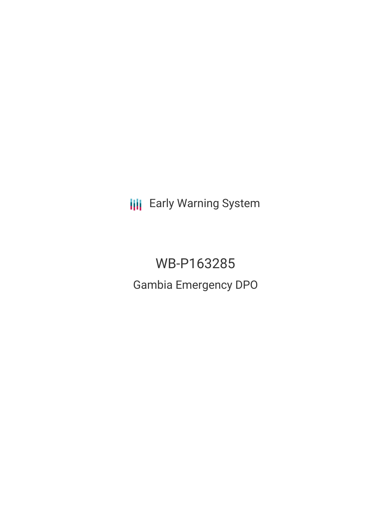**III** Early Warning System

WB-P163285 Gambia Emergency DPO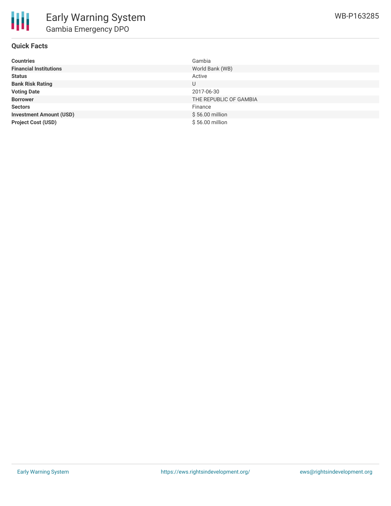

# **Quick Facts**

| <b>Countries</b>               | Gambia                 |
|--------------------------------|------------------------|
| <b>Financial Institutions</b>  | World Bank (WB)        |
| <b>Status</b>                  | Active                 |
| <b>Bank Risk Rating</b>        |                        |
| <b>Voting Date</b>             | 2017-06-30             |
| <b>Borrower</b>                | THE REPUBLIC OF GAMBIA |
| <b>Sectors</b>                 | Finance                |
| <b>Investment Amount (USD)</b> | \$56.00 million        |
| <b>Project Cost (USD)</b>      | \$56.00 million        |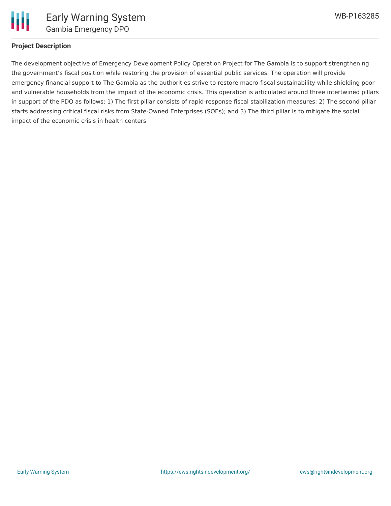

### **Project Description**

The development objective of Emergency Development Policy Operation Project for The Gambia is to support strengthening the government's fiscal position while restoring the provision of essential public services. The operation will provide emergency financial support to The Gambia as the authorities strive to restore macro-fiscal sustainability while shielding poor and vulnerable households from the impact of the economic crisis. This operation is articulated around three intertwined pillars in support of the PDO as follows: 1) The first pillar consists of rapid-response fiscal stabilization measures; 2) The second pillar starts addressing critical fiscal risks from State-Owned Enterprises (SOEs); and 3) The third pillar is to mitigate the social impact of the economic crisis in health centers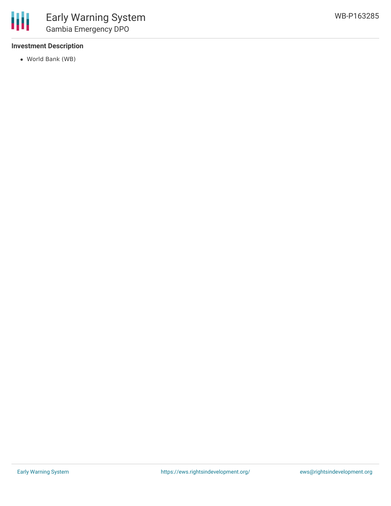# **Investment Description**

World Bank (WB)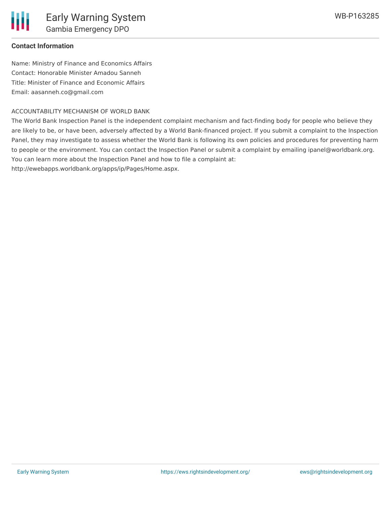#### **Contact Information**

Name: Ministry of Finance and Economics Affairs Contact: Honorable Minister Amadou Sanneh Title: Minister of Finance and Economic Affairs Email: aasanneh.co@gmail.com

### ACCOUNTABILITY MECHANISM OF WORLD BANK

The World Bank Inspection Panel is the independent complaint mechanism and fact-finding body for people who believe they are likely to be, or have been, adversely affected by a World Bank-financed project. If you submit a complaint to the Inspection Panel, they may investigate to assess whether the World Bank is following its own policies and procedures for preventing harm to people or the environment. You can contact the Inspection Panel or submit a complaint by emailing ipanel@worldbank.org. You can learn more about the Inspection Panel and how to file a complaint at: http://ewebapps.worldbank.org/apps/ip/Pages/Home.aspx.